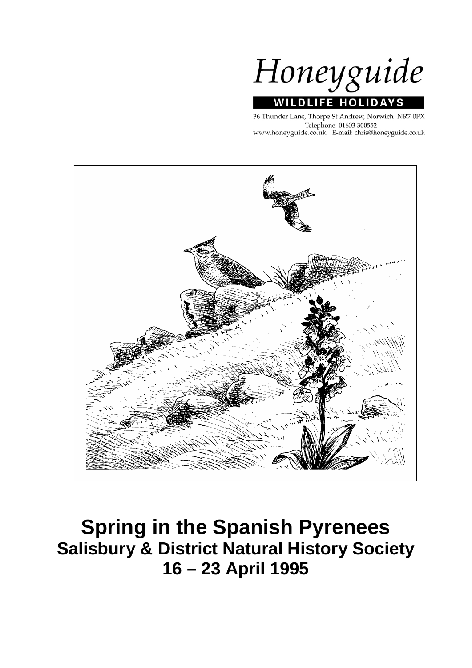

36 Thunder Lane, Thorpe St Andrew, Norwich NR7 0PX Telephone: 01603 300552 www.honeyguide.co.uk E-mail: chris@honeyguide.co.uk



# **Spring in the Spanish Pyrenees Salisbury & District Natural History Society 16 – 23 April 1995**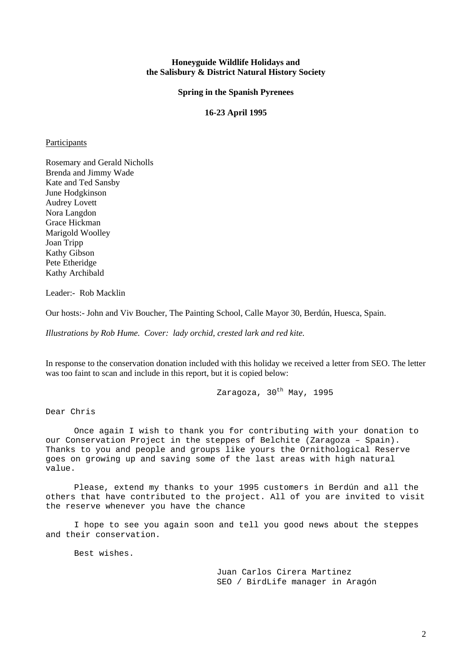#### **Honeyguide Wildlife Holidays and the Salisbury & District Natural History Society**

**Spring in the Spanish Pyrenees** 

#### **16-23 April 1995**

#### **Participants**

Rosemary and Gerald Nicholls Brenda and Jimmy Wade Kate and Ted Sansby June Hodgkinson Audrey Lovett Nora Langdon Grace Hickman Marigold Woolley Joan Tripp Kathy Gibson Pete Etheridge Kathy Archibald

Leader:- Rob Macklin

Our hosts:- John and Viv Boucher, The Painting School, Calle Mayor 30, Berdún, Huesca, Spain.

*Illustrations by Rob Hume. Cover: lady orchid, crested lark and red kite.* 

In response to the conservation donation included with this holiday we received a letter from SEO. The letter was too faint to scan and include in this report, but it is copied below:

Zaragoza, 30<sup>th</sup> May, 1995

Dear Chris

Once again I wish to thank you for contributing with your donation to our Conservation Project in the steppes of Belchite (Zaragoza – Spain). Thanks to you and people and groups like yours the Ornithological Reserve goes on growing up and saving some of the last areas with high natural value.

 Please, extend my thanks to your 1995 customers in Berdún and all the others that have contributed to the project. All of you are invited to visit the reserve whenever you have the chance

 I hope to see you again soon and tell you good news about the steppes and their conservation.

Best wishes.

Juan Carlos Cirera Martinez SEO / BirdLife manager in Aragón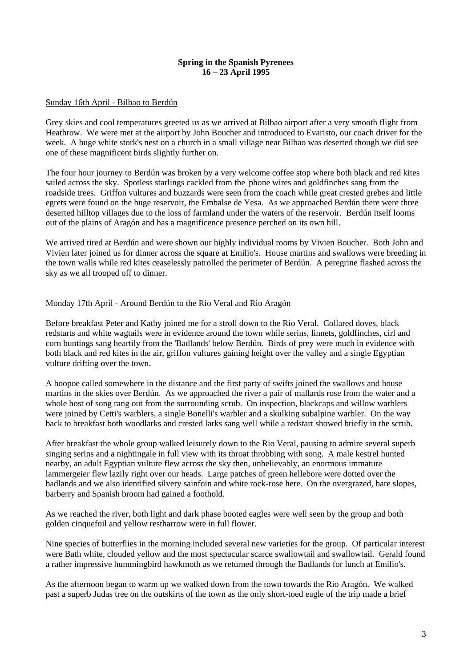#### **Spring in the Spanish Pyrenees 16 – 23 April 1995**

#### Sunday 16th April - Bilbao to Berdún

Grey skies and cool temperatures greeted us as we arrived at Bilbao airport after a very smooth flight from Heathrow. We were met at the airport by John Boucher and introduced to Evaristo, our coach driver for the week. A huge white stork's nest on a church in a small village near Bilbao was deserted though we did see one of these magnificent birds slightly further on.

The four hour journey to Berdún was broken by a very welcome coffee stop where both black and red kites sailed across the sky. Spotless starlings cackled from the 'phone wires and goldfinches sang from the roadside trees. Griffon vultures and buzzards were seen from the coach while great crested grebes and little egrets were found on the huge reservoir, the Embalse de Yesa. As we approached Berdún there were three deserted hilltop villages due to the loss of farmland under the waters of the reservoir. Berdún itself looms out of the plains of Aragón and has a magnificence presence perched on its own hill.

We arrived tired at Berdún and were shown our highly individual rooms by Vivien Boucher. Both John and Vivien later joined us for dinner across the square at Emilio's. House martins and swallows were breeding in the town walls while red kites ceaselessly patrolled the perimeter of Berdún. A peregrine flashed across the sky as we all trooped off to dinner.

## Monday 17th April - Around Berdún to the Rio Veral and Rio Aragón

Before breakfast Peter and Kathy joined me for a stroll down to the Rio Veral. Collared doves, black redstarts and white wagtails were in evidence around the town while serins, linnets, goldfinches, cirl and corn buntings sang heartily from the 'Badlands' below Berdún. Birds of prey were much in evidence with both black and red kites in the air, griffon vultures gaining height over the valley and a single Egyptian vulture drifting over the town.

A hoopoe called somewhere in the distance and the first party of swifts joined the swallows and house martins in the skies over Berdún. As we approached the river a pair of mallards rose from the water and a whole host of song rang out from the surrounding scrub. On inspection, blackcaps and willow warblers were joined by Cetti's warblers, a single Bonelli's warbler and a skulking subalpine warbler. On the way back to breakfast both woodlarks and crested larks sang well while a redstart showed briefly in the scrub.

After breakfast the whole group walked leisurely down to the Rio Veral, pausing to admire several superb singing serins and a nightingale in full view with its throat throbbing with song. A male kestrel hunted nearby, an adult Egyptian vulture flew across the sky then, unbelievably, an enormous immature lammergeier flew lazily right over our heads. Large patches of green hellebore were dotted over the badlands and we also identified silvery sainfoin and white rock-rose here. On the overgrazed, bare slopes, barberry and Spanish broom had gained a foothold.

As we reached the river, both light and dark phase booted eagles were well seen by the group and both golden cinquefoil and yellow restharrow were in full flower.

Nine species of butterflies in the morning included several new varieties for the group. Of particular interest were Bath white, clouded yellow and the most spectacular scarce swallowtail and swallowtail. Gerald found a rather impressive hummingbird hawkmoth as we returned through the Badlands for lunch at Emilio's.

As the afternoon began to warm up we walked down from the town towards the Rio Aragón. We walked past a superb Judas tree on the outskirts of the town as the only short-toed eagle of the trip made a brief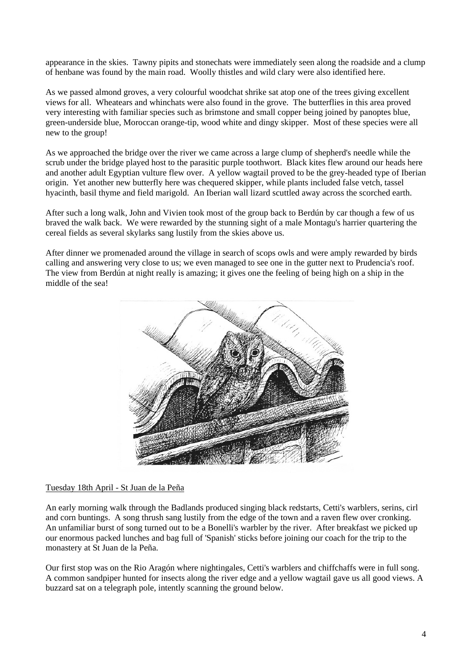appearance in the skies. Tawny pipits and stonechats were immediately seen along the roadside and a clump of henbane was found by the main road. Woolly thistles and wild clary were also identified here.

As we passed almond groves, a very colourful woodchat shrike sat atop one of the trees giving excellent views for all. Wheatears and whinchats were also found in the grove. The butterflies in this area proved very interesting with familiar species such as brimstone and small copper being joined by panoptes blue, green-underside blue, Moroccan orange-tip, wood white and dingy skipper. Most of these species were all new to the group!

As we approached the bridge over the river we came across a large clump of shepherd's needle while the scrub under the bridge played host to the parasitic purple toothwort. Black kites flew around our heads here and another adult Egyptian vulture flew over. A yellow wagtail proved to be the grey-headed type of Iberian origin. Yet another new butterfly here was chequered skipper, while plants included false vetch, tassel hyacinth, basil thyme and field marigold. An Iberian wall lizard scuttled away across the scorched earth.

After such a long walk, John and Vivien took most of the group back to Berdún by car though a few of us braved the walk back. We were rewarded by the stunning sight of a male Montagu's harrier quartering the cereal fields as several skylarks sang lustily from the skies above us.

After dinner we promenaded around the village in search of scops owls and were amply rewarded by birds calling and answering very close to us; we even managed to see one in the gutter next to Prudencia's roof. The view from Berdún at night really is amazing; it gives one the feeling of being high on a ship in the middle of the sea!



#### Tuesday 18th April - St Juan de la Peña

An early morning walk through the Badlands produced singing black redstarts, Cetti's warblers, serins, cirl and corn buntings. A song thrush sang lustily from the edge of the town and a raven flew over cronking. An unfamiliar burst of song turned out to be a Bonelli's warbler by the river. After breakfast we picked up our enormous packed lunches and bag full of 'Spanish' sticks before joining our coach for the trip to the monastery at St Juan de la Peña.

Our first stop was on the Rio Aragón where nightingales, Cetti's warblers and chiffchaffs were in full song. A common sandpiper hunted for insects along the river edge and a yellow wagtail gave us all good views. A buzzard sat on a telegraph pole, intently scanning the ground below.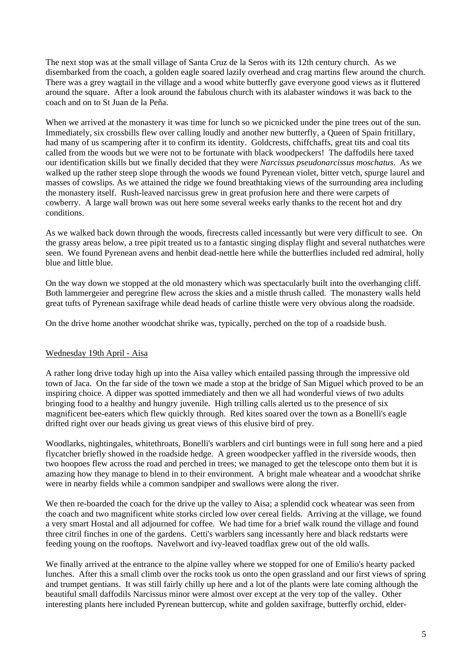The next stop was at the small village of Santa Cruz de la Seros with its 12th century church. As we disembarked from the coach, a golden eagle soared lazily overhead and crag martins flew around the church. There was a grey wagtail in the village and a wood white butterfly gave everyone good views as it fluttered around the square. After a look around the fabulous church with its alabaster windows it was back to the coach and on to St Juan de la Peña.

When we arrived at the monastery it was time for lunch so we picnicked under the pine trees out of the sun. Immediately, six crossbills flew over calling loudly and another new butterfly, a Queen of Spain fritillary, had many of us scampering after it to confirm its identity. Goldcrests, chiffchaffs, great tits and coal tits called from the woods but we were not to be fortunate with black woodpeckers! The daffodils here taxed our identification skills but we finally decided that they were *Narcissus pseudonarcissus moschatus*. As we walked up the rather steep slope through the woods we found Pyrenean violet, bitter vetch, spurge laurel and masses of cowslips. As we attained the ridge we found breathtaking views of the surrounding area including the monastery itself. Rush-leaved narcissus grew in great profusion here and there were carpets of cowberry. A large wall brown was out here some several weeks early thanks to the recent hot and dry conditions.

As we walked back down through the woods, firecrests called incessantly but were very difficult to see. On the grassy areas below, a tree pipit treated us to a fantastic singing display flight and several nuthatches were seen. We found Pyrenean avens and henbit dead-nettle here while the butterflies included red admiral, holly blue and little blue.

On the way down we stopped at the old monastery which was spectacularly built into the overhanging cliff. Both lammergeier and peregrine flew across the skies and a mistle thrush called. The monastery walls held great tufts of Pyrenean saxifrage while dead heads of carline thistle were very obvious along the roadside.

On the drive home another woodchat shrike was, typically, perched on the top of a roadside bush.

#### Wednesday 19th April - Aisa

A rather long drive today high up into the Aisa valley which entailed passing through the impressive old town of Jaca. On the far side of the town we made a stop at the bridge of San Miguel which proved to be an inspiring choice. A dipper was spotted immediately and then we all had wonderful views of two adults bringing food to a healthy and hungry juvenile. High trilling calls alerted us to the presence of six magnificent bee-eaters which flew quickly through. Red kites soared over the town as a Bonelli's eagle drifted right over our heads giving us great views of this elusive bird of prey.

Woodlarks, nightingales, whitethroats, Bonelli's warblers and cirl buntings were in full song here and a pied flycatcher briefly showed in the roadside hedge. A green woodpecker yaffled in the riverside woods, then two hoopoes flew across the road and perched in trees; we managed to get the telescope onto them but it is amazing how they manage to blend in to their environment. A bright male wheatear and a woodchat shrike were in nearby fields while a common sandpiper and swallows were along the river.

We then re-boarded the coach for the drive up the valley to Aisa; a splendid cock wheatear was seen from the coach and two magnificent white storks circled low over cereal fields. Arriving at the village, we found a very smart Hostal and all adjourned for coffee. We had time for a brief walk round the village and found three citril finches in one of the gardens. Cetti's warblers sang incessantly here and black redstarts were feeding young on the rooftops. Navelwort and ivy-leaved toadflax grew out of the old walls.

We finally arrived at the entrance to the alpine valley where we stopped for one of Emilio's hearty packed lunches. After this a small climb over the rocks took us onto the open grassland and our first views of spring and trumpet gentians. It was still fairly chilly up here and a lot of the plants were late coming although the beautiful small daffodils Narcissus minor were almost over except at the very top of the valley. Other interesting plants here included Pyrenean buttercup, white and golden saxifrage, butterfly orchid, elder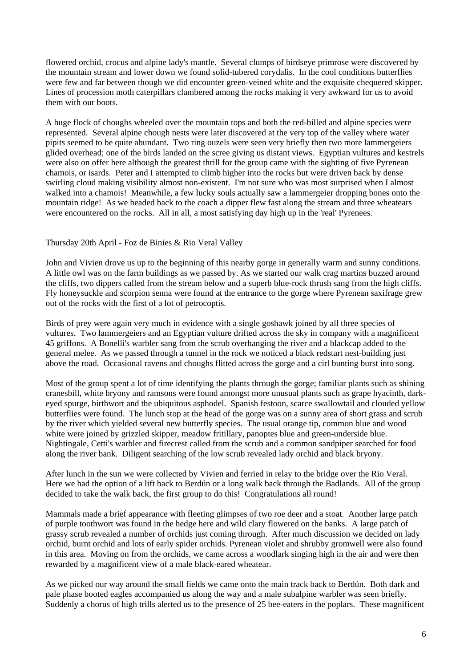flowered orchid, crocus and alpine lady's mantle. Several clumps of birdseye primrose were discovered by the mountain stream and lower down we found solid-tubered corydalis. In the cool conditions butterflies were few and far between though we did encounter green-veined white and the exquisite chequered skipper. Lines of procession moth caterpillars clambered among the rocks making it very awkward for us to avoid them with our boots.

A huge flock of choughs wheeled over the mountain tops and both the red-billed and alpine species were represented. Several alpine chough nests were later discovered at the very top of the valley where water pipits seemed to be quite abundant. Two ring ouzels were seen very briefly then two more lammergeiers glided overhead; one of the birds landed on the scree giving us distant views. Egyptian vultures and kestrels were also on offer here although the greatest thrill for the group came with the sighting of five Pyrenean chamois, or isards. Peter and I attempted to climb higher into the rocks but were driven back by dense swirling cloud making visibility almost non-existent. I'm not sure who was most surprised when I almost walked into a chamois! Meanwhile, a few lucky souls actually saw a lammergeier dropping bones onto the mountain ridge! As we headed back to the coach a dipper flew fast along the stream and three wheatears were encountered on the rocks. All in all, a most satisfying day high up in the 'real' Pyrenees.

#### Thursday 20th April - Foz de Binies & Rio Veral Valley

John and Vivien drove us up to the beginning of this nearby gorge in generally warm and sunny conditions. A little owl was on the farm buildings as we passed by. As we started our walk crag martins buzzed around the cliffs, two dippers called from the stream below and a superb blue-rock thrush sang from the high cliffs. Fly honeysuckle and scorpion senna were found at the entrance to the gorge where Pyrenean saxifrage grew out of the rocks with the first of a lot of petrocoptis.

Birds of prey were again very much in evidence with a single goshawk joined by all three species of vultures. Two lammergeiers and an Egyptian vulture drifted across the sky in company with a magnificent 45 griffons. A Bonelli's warbler sang from the scrub overhanging the river and a blackcap added to the general melee. As we passed through a tunnel in the rock we noticed a black redstart nest-building just above the road. Occasional ravens and choughs flitted across the gorge and a cirl bunting burst into song.

Most of the group spent a lot of time identifying the plants through the gorge; familiar plants such as shining cranesbill, white bryony and ramsons were found amongst more unusual plants such as grape hyacinth, darkeyed spurge, birthwort and the ubiquitous asphodel. Spanish festoon, scarce swallowtail and clouded yellow butterflies were found. The lunch stop at the head of the gorge was on a sunny area of short grass and scrub by the river which yielded several new butterfly species. The usual orange tip, common blue and wood white were joined by grizzled skipper, meadow fritillary, panoptes blue and green-underside blue. Nightingale, Cetti's warbler and firecrest called from the scrub and a common sandpiper searched for food along the river bank. Diligent searching of the low scrub revealed lady orchid and black bryony.

After lunch in the sun we were collected by Vivien and ferried in relay to the bridge over the Rio Veral. Here we had the option of a lift back to Berdún or a long walk back through the Badlands. All of the group decided to take the walk back, the first group to do this! Congratulations all round!

Mammals made a brief appearance with fleeting glimpses of two roe deer and a stoat. Another large patch of purple toothwort was found in the hedge here and wild clary flowered on the banks. A large patch of grassy scrub revealed a number of orchids just coming through. After much discussion we decided on lady orchid, burnt orchid and lots of early spider orchids. Pyrenean violet and shrubby gromwell were also found in this area. Moving on from the orchids, we came across a woodlark singing high in the air and were then rewarded by a magnificent view of a male black-eared wheatear.

As we picked our way around the small fields we came onto the main track back to Berdún. Both dark and pale phase booted eagles accompanied us along the way and a male subalpine warbler was seen briefly. Suddenly a chorus of high trills alerted us to the presence of 25 bee-eaters in the poplars. These magnificent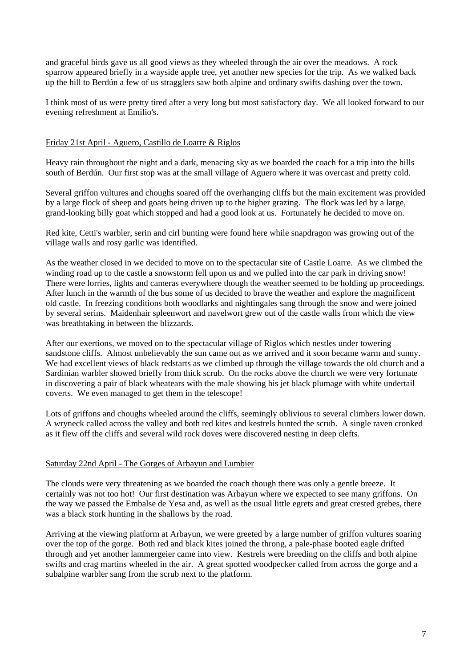and graceful birds gave us all good views as they wheeled through the air over the meadows. A rock sparrow appeared briefly in a wayside apple tree, yet another new species for the trip. As we walked back up the hill to Berdún a few of us stragglers saw both alpine and ordinary swifts dashing over the town.

I think most of us were pretty tired after a very long but most satisfactory day. We all looked forward to our evening refreshment at Emilio's.

#### Friday 21st April - Aguero, Castillo de Loarre & Riglos

Heavy rain throughout the night and a dark, menacing sky as we boarded the coach for a trip into the hills south of Berdún. Our first stop was at the small village of Aguero where it was overcast and pretty cold.

Several griffon vultures and choughs soared off the overhanging cliffs but the main excitement was provided by a large flock of sheep and goats being driven up to the higher grazing. The flock was led by a large, grand-looking billy goat which stopped and had a good look at us. Fortunately he decided to move on.

Red kite, Cetti's warbler, serin and cirl bunting were found here while snapdragon was growing out of the village walls and rosy garlic was identified.

As the weather closed in we decided to move on to the spectacular site of Castle Loarre. As we climbed the winding road up to the castle a snowstorm fell upon us and we pulled into the car park in driving snow! There were lorries, lights and cameras everywhere though the weather seemed to be holding up proceedings. After lunch in the warmth of the bus some of us decided to brave the weather and explore the magnificent old castle. In freezing conditions both woodlarks and nightingales sang through the snow and were joined by several serins. Maidenhair spleenwort and navelwort grew out of the castle walls from which the view was breathtaking in between the blizzards.

After our exertions, we moved on to the spectacular village of Riglos which nestles under towering sandstone cliffs. Almost unbelievably the sun came out as we arrived and it soon became warm and sunny. We had excellent views of black redstarts as we climbed up through the village towards the old church and a Sardinian warbler showed briefly from thick scrub. On the rocks above the church we were very fortunate in discovering a pair of black wheatears with the male showing his jet black plumage with white undertail coverts. We even managed to get them in the telescope!

Lots of griffons and choughs wheeled around the cliffs, seemingly oblivious to several climbers lower down. A wryneck called across the valley and both red kites and kestrels hunted the scrub. A single raven cronked as it flew off the cliffs and several wild rock doves were discovered nesting in deep clefts.

#### Saturday 22nd April - The Gorges of Arbayun and Lumbier

The clouds were very threatening as we boarded the coach though there was only a gentle breeze. It certainly was not too hot! Our first destination was Arbayun where we expected to see many griffons. On the way we passed the Embalse de Yesa and, as well as the usual little egrets and great crested grebes, there was a black stork hunting in the shallows by the road.

Arriving at the viewing platform at Arbayun, we were greeted by a large number of griffon vultures soaring over the top of the gorge. Both red and black kites joined the throng, a pale-phase booted eagle drifted through and yet another lammergeier came into view. Kestrels were breeding on the cliffs and both alpine swifts and crag martins wheeled in the air. A great spotted woodpecker called from across the gorge and a subalpine warbler sang from the scrub next to the platform.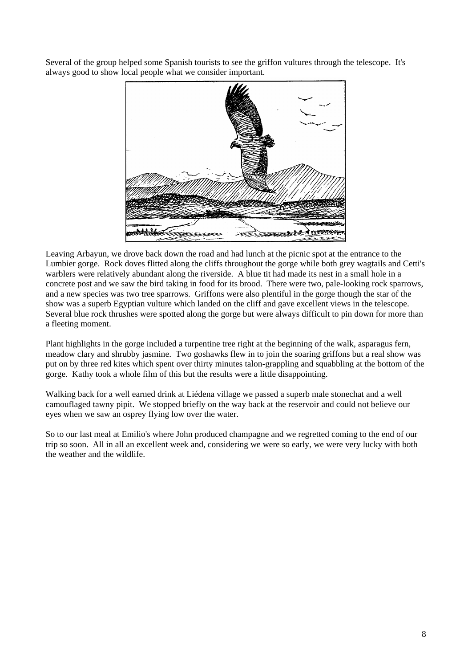Several of the group helped some Spanish tourists to see the griffon vultures through the telescope. It's always good to show local people what we consider important.



Leaving Arbayun, we drove back down the road and had lunch at the picnic spot at the entrance to the Lumbier gorge. Rock doves flitted along the cliffs throughout the gorge while both grey wagtails and Cetti's warblers were relatively abundant along the riverside. A blue tit had made its nest in a small hole in a concrete post and we saw the bird taking in food for its brood. There were two, pale-looking rock sparrows, and a new species was two tree sparrows. Griffons were also plentiful in the gorge though the star of the show was a superb Egyptian vulture which landed on the cliff and gave excellent views in the telescope. Several blue rock thrushes were spotted along the gorge but were always difficult to pin down for more than a fleeting moment.

Plant highlights in the gorge included a turpentine tree right at the beginning of the walk, asparagus fern, meadow clary and shrubby jasmine. Two goshawks flew in to join the soaring griffons but a real show was put on by three red kites which spent over thirty minutes talon-grappling and squabbling at the bottom of the gorge. Kathy took a whole film of this but the results were a little disappointing.

Walking back for a well earned drink at Liédena village we passed a superb male stonechat and a well camouflaged tawny pipit. We stopped briefly on the way back at the reservoir and could not believe our eyes when we saw an osprey flying low over the water.

So to our last meal at Emilio's where John produced champagne and we regretted coming to the end of our trip so soon. All in all an excellent week and, considering we were so early, we were very lucky with both the weather and the wildlife.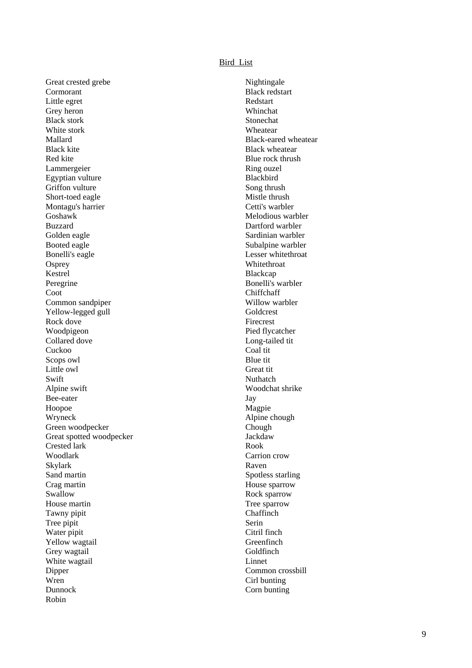#### Bird List

Great crested grebe Nightingale Cormorant Black redstart Little egret Redstart Grey heron Whinchat Black stork Stonechat White stork **Wheatear** Mallard Black-eared wheatear Black kite Black wheatear Black wheatear Red kite Blue rock thrush Red kite Lammergeier Ring ouzel Egyptian vulture Blackbird Griffon vulture Song thrush Short-toed eagle Mistle thrush Montagu's harrier Cetti's warbler Goshawk **Melodious** warbler Buzzard Dartford warbler Golden eagle Sardinian warbler Booted eagle Subalpine warbler Bonelli's eagle Lesser whitethroat Osprey Whitethroat Kestrel Blackcap Peregrine Bonelli's warbler Coot Chiffchaff Common sandpiper Willow warbler Yellow-legged gull Goldcrest Rock dove<br>
Woodpigeon<br>
Pied flyc: Collared dove Long-tailed tit Cuckoo Coal tit<br>Scops owl Blue tit Scops owl Little owl Great tit Swift Nuthatch Alpine swift Woodchat shrike Bee-eater Jay Hoopoe Magpie Magpie Alpine C Green woodpecker Great spotted woodpecker **Jackdaw** Jackdaw Crested lark Rook Woodlark Carrion crow Skylark Raven Sand martin Spotless starling Crag martin House sparrow Swallow Rock sparrow Rock sparrow House martin Tree sparrow<br>Tawny ninit Tawn Tawn Chaffinch Tawny pipit Tree pipit Serin Water pipit Citril finch Yellow wagtail Greenfinch Grey wagtail Goldfinch White wagtail Linnet Dipper Common crossbill Wren Cirl bunting Dunnock Corn bunting Robin

Pied flycatcher Alpine chough<br>Chough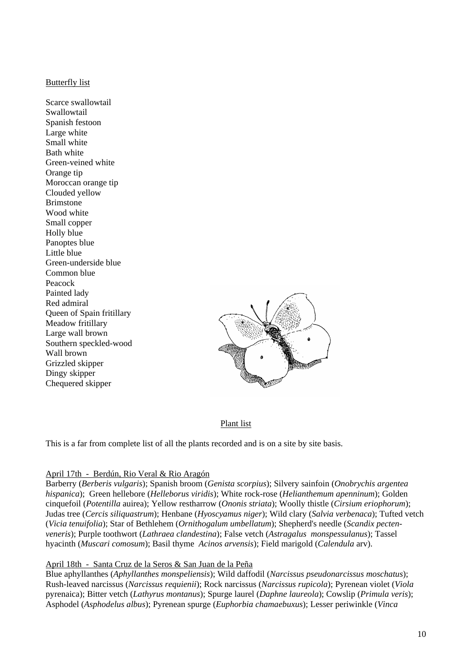### Butterfly list

Scarce swallowtail Swallowtail Spanish festoon Large white Small white Bath white Green-veined white Orange tip Moroccan orange tip Clouded yellow Brimstone Wood white Small conner Holly blue Panoptes blue Little blue Green-underside blue Common blue Peacock Painted lady Red admiral Queen of Spain fritillary Meadow fritillary Large wall brown Southern speckled-wood Wall brown Grizzled skipper Dingy skipper Chequered skipper



## Plant list

This is a far from complete list of all the plants recorded and is on a site by site basis.

## April 17th - Berdún, Rio Veral & Rio Aragón

Barberry (*Berberis vulgaris*); Spanish broom (*Genista scorpius*); Silvery sainfoin (*Onobrychis argentea hispanica*); Green hellebore (*Helleborus viridis*); White rock-rose (*Helianthemum apenninum*); Golden cinquefoil (*Potentilla* auirea); Yellow restharrow (*Ononis striata*); Woolly thistle (*Cirsium eriophorum*); Judas tree (*Cercis siliquastrum*); Henbane (*Hyoscyamus niger*); Wild clary (*Salvia verbenaca*); Tufted vetch (*Vicia tenuifolia*); Star of Bethlehem (*Ornithogalum umbellatum*); Shepherd's needle (*Scandix pectenveneris*); Purple toothwort (*Lathraea clandestina*); False vetch (*Astragalus monspessulanus*); Tassel hyacinth (*Muscari comosum*); Basil thyme *Acinos arvensis*); Field marigold (*Calendula* arv).

## April 18th - Santa Cruz de la Seros & San Juan de la Peña

Blue aphyllanthes (*Aphyllanthes monspeliensis*); Wild daffodil (*Narcissus pseudonarcissus moschatus*); Rush-leaved narcissus (*Narcissus requienii*); Rock narcissus (*Narcissus rupicola*); Pyrenean violet (*Viola* pyrenaica); Bitter vetch (*Lathyrus montanus*); Spurge laurel (*Daphne laureola*); Cowslip (*Primula veris*); Asphodel (*Asphodelus albus*); Pyrenean spurge (*Euphorbia chamaebuxus*); Lesser periwinkle (*Vinca*